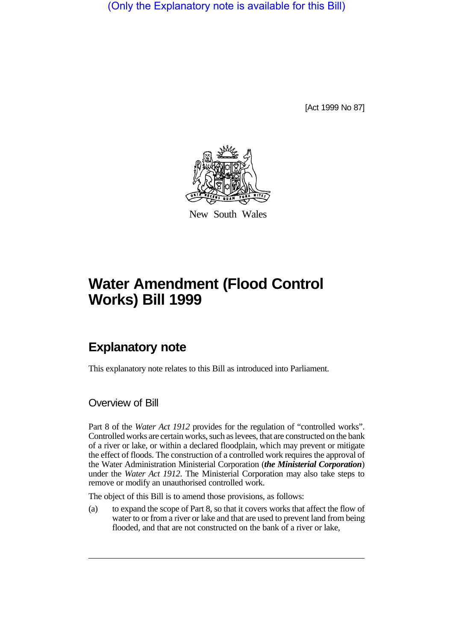(Only the Explanatory note is available for this Bill)

[Act 1999 No 87]



New South Wales

# **Water Amendment (Flood Control Works) Bill 1999**

## **Explanatory note**

This explanatory note relates to this Bill as introduced into Parliament.

Overview of Bill

Part 8 of the *Water Act 1912* provides for the regulation of "controlled works". Controlled works are certain works, such as levees, that are constructed on the bank of a river or lake, or within a declared floodplain, which may prevent or mitigate the effect of floods. The construction of a controlled work requires the approval of the Water Administration Ministerial Corporation (*the Ministerial Corporation*) under the *Water Act 1912*. The Ministerial Corporation may also take steps to remove or modify an unauthorised controlled work.

The object of this Bill is to amend those provisions, as follows:

(a) to expand the scope of Part 8, so that it covers works that affect the flow of water to or from a river or lake and that are used to prevent land from being flooded, and that are not constructed on the bank of a river or lake,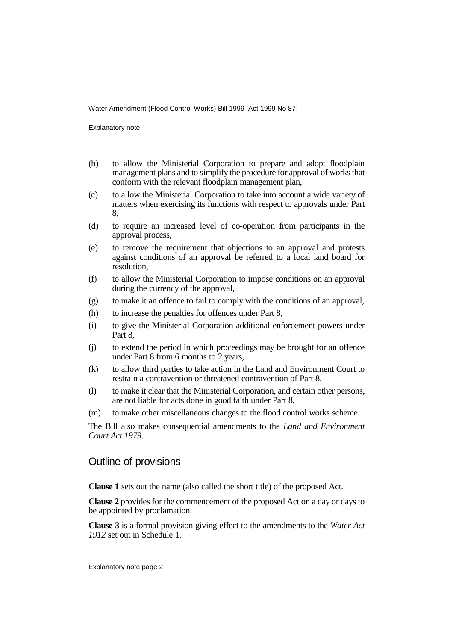Explanatory note

- (b) to allow the Ministerial Corporation to prepare and adopt floodplain management plans and to simplify the procedure for approval of works that conform with the relevant floodplain management plan,
- (c) to allow the Ministerial Corporation to take into account a wide variety of matters when exercising its functions with respect to approvals under Part 8,
- (d) to require an increased level of co-operation from participants in the approval process,
- (e) to remove the requirement that objections to an approval and protests against conditions of an approval be referred to a local land board for resolution,
- (f) to allow the Ministerial Corporation to impose conditions on an approval during the currency of the approval,
- (g) to make it an offence to fail to comply with the conditions of an approval,
- (h) to increase the penalties for offences under Part 8,
- (i) to give the Ministerial Corporation additional enforcement powers under Part 8,
- (j) to extend the period in which proceedings may be brought for an offence under Part 8 from 6 months to 2 years,
- (k) to allow third parties to take action in the Land and Environment Court to restrain a contravention or threatened contravention of Part 8,
- (l) to make it clear that the Ministerial Corporation, and certain other persons, are not liable for acts done in good faith under Part 8,
- (m) to make other miscellaneous changes to the flood control works scheme.

The Bill also makes consequential amendments to the *Land and Environment Court Act 1979*.

#### Outline of provisions

**Clause 1** sets out the name (also called the short title) of the proposed Act.

**Clause 2** provides for the commencement of the proposed Act on a day or days to be appointed by proclamation.

**Clause 3** is a formal provision giving effect to the amendments to the *Water Act 1912* set out in Schedule 1.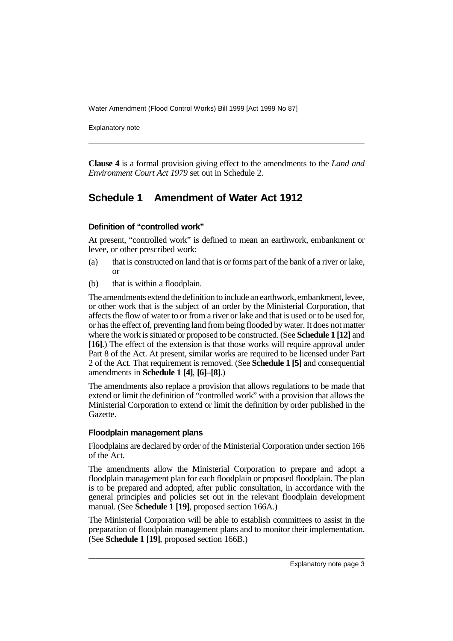Explanatory note

**Clause 4** is a formal provision giving effect to the amendments to the *Land and Environment Court Act 1979* set out in Schedule 2.

### **Schedule 1 Amendment of Water Act 1912**

#### **Definition of "controlled work"**

At present, "controlled work" is defined to mean an earthwork, embankment or levee, or other prescribed work:

- (a) that is constructed on land that is or forms part of the bank of a river or lake, or
- (b) that is within a floodplain.

The amendments extend the definition to include an earthwork, embankment, levee, or other work that is the subject of an order by the Ministerial Corporation, that affects the flow of water to or from a river or lake and that is used or to be used for, or has the effect of, preventing land from being flooded by water. It does not matter where the work is situated or proposed to be constructed. (See **Schedule 1 [12]** and **[16]**.) The effect of the extension is that those works will require approval under Part 8 of the Act. At present, similar works are required to be licensed under Part 2 of the Act. That requirement is removed. (See **Schedule 1 [5]** and consequential amendments in **Schedule 1 [4]**, **[6]**–**[8]**.)

The amendments also replace a provision that allows regulations to be made that extend or limit the definition of "controlled work" with a provision that allows the Ministerial Corporation to extend or limit the definition by order published in the Gazette.

#### **Floodplain management plans**

Floodplains are declared by order of the Ministerial Corporation under section 166 of the Act.

The amendments allow the Ministerial Corporation to prepare and adopt a floodplain management plan for each floodplain or proposed floodplain. The plan is to be prepared and adopted, after public consultation, in accordance with the general principles and policies set out in the relevant floodplain development manual. (See **Schedule 1 [19]**, proposed section 166A.)

The Ministerial Corporation will be able to establish committees to assist in the preparation of floodplain management plans and to monitor their implementation. (See **Schedule 1 [19]**, proposed section 166B.)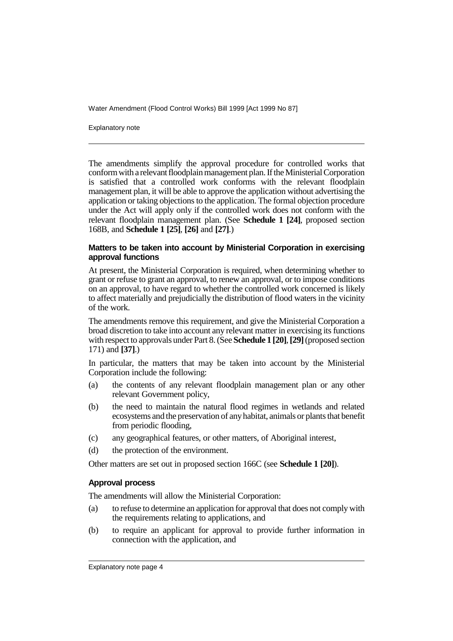Explanatory note

The amendments simplify the approval procedure for controlled works that conform with a relevant floodplain management plan. If the Ministerial Corporation is satisfied that a controlled work conforms with the relevant floodplain management plan, it will be able to approve the application without advertising the application or taking objections to the application. The formal objection procedure under the Act will apply only if the controlled work does not conform with the relevant floodplain management plan. (See **Schedule 1 [24]**, proposed section 168B, and **Schedule 1 [25]**, **[26]** and **[27]**.)

#### **Matters to be taken into account by Ministerial Corporation in exercising approval functions**

At present, the Ministerial Corporation is required, when determining whether to grant or refuse to grant an approval, to renew an approval, or to impose conditions on an approval, to have regard to whether the controlled work concerned is likely to affect materially and prejudicially the distribution of flood waters in the vicinity of the work.

The amendments remove this requirement, and give the Ministerial Corporation a broad discretion to take into account any relevant matter in exercising its functions with respect to approvals under Part 8. (See **Schedule 1 [20]**, **[29]** (proposed section 171) and **[37]**.)

In particular, the matters that may be taken into account by the Ministerial Corporation include the following:

- (a) the contents of any relevant floodplain management plan or any other relevant Government policy,
- (b) the need to maintain the natural flood regimes in wetlands and related ecosystems and the preservation of any habitat, animals or plants that benefit from periodic flooding,
- (c) any geographical features, or other matters, of Aboriginal interest,
- (d) the protection of the environment.

Other matters are set out in proposed section 166C (see **Schedule 1 [20]**).

#### **Approval process**

The amendments will allow the Ministerial Corporation:

- (a) to refuse to determine an application for approval that does not comply with the requirements relating to applications, and
- (b) to require an applicant for approval to provide further information in connection with the application, and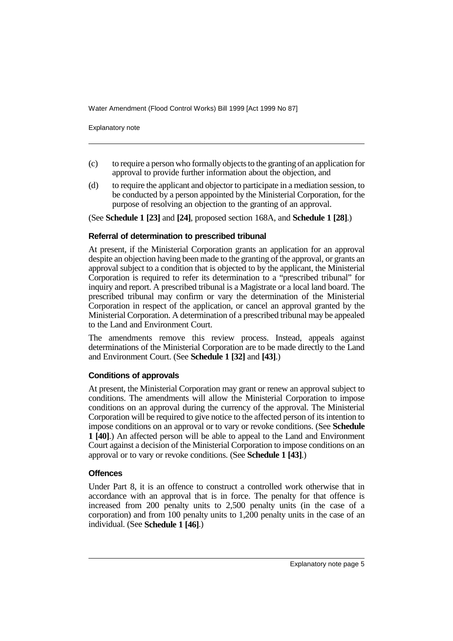Explanatory note

- (c) to require a person who formally objects to the granting of an application for approval to provide further information about the objection, and
- (d) to require the applicant and objector to participate in a mediation session, to be conducted by a person appointed by the Ministerial Corporation, for the purpose of resolving an objection to the granting of an approval.

(See **Schedule 1 [23]** and **[24]**, proposed section 168A, and **Schedule 1 [28]**.)

#### **Referral of determination to prescribed tribunal**

At present, if the Ministerial Corporation grants an application for an approval despite an objection having been made to the granting of the approval, or grants an approval subject to a condition that is objected to by the applicant, the Ministerial Corporation is required to refer its determination to a "prescribed tribunal" for inquiry and report. A prescribed tribunal is a Magistrate or a local land board. The prescribed tribunal may confirm or vary the determination of the Ministerial Corporation in respect of the application, or cancel an approval granted by the Ministerial Corporation. A determination of a prescribed tribunal may be appealed to the Land and Environment Court.

The amendments remove this review process. Instead, appeals against determinations of the Ministerial Corporation are to be made directly to the Land and Environment Court. (See **Schedule 1 [32]** and **[43]**.)

#### **Conditions of approvals**

At present, the Ministerial Corporation may grant or renew an approval subject to conditions. The amendments will allow the Ministerial Corporation to impose conditions on an approval during the currency of the approval. The Ministerial Corporation will be required to give notice to the affected person of its intention to impose conditions on an approval or to vary or revoke conditions. (See **Schedule 1 [40]**.) An affected person will be able to appeal to the Land and Environment Court against a decision of the Ministerial Corporation to impose conditions on an approval or to vary or revoke conditions. (See **Schedule 1 [43]**.)

#### **Offences**

Under Part 8, it is an offence to construct a controlled work otherwise that in accordance with an approval that is in force. The penalty for that offence is increased from 200 penalty units to 2,500 penalty units (in the case of a corporation) and from 100 penalty units to 1,200 penalty units in the case of an individual. (See **Schedule 1 [46]**.)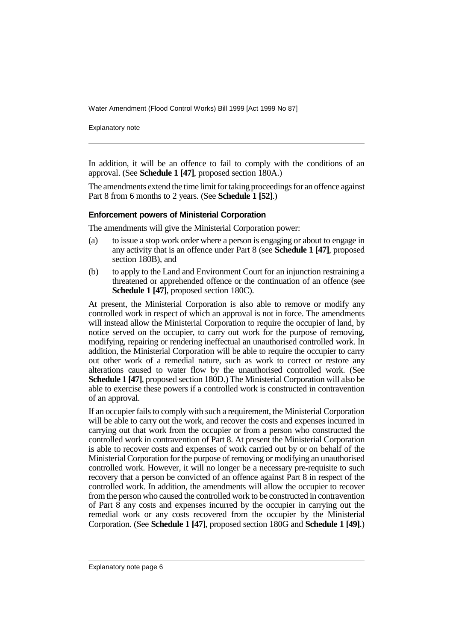Explanatory note

In addition, it will be an offence to fail to comply with the conditions of an approval. (See **Schedule 1 [47]**, proposed section 180A.)

The amendments extend the time limit for taking proceedings for an offence against Part 8 from 6 months to 2 years. (See **Schedule 1 [52]**.)

#### **Enforcement powers of Ministerial Corporation**

The amendments will give the Ministerial Corporation power:

- (a) to issue a stop work order where a person is engaging or about to engage in any activity that is an offence under Part 8 (see **Schedule 1 [47]**, proposed section 180B), and
- (b) to apply to the Land and Environment Court for an injunction restraining a threatened or apprehended offence or the continuation of an offence (see **Schedule 1 [47]**, proposed section 180C).

At present, the Ministerial Corporation is also able to remove or modify any controlled work in respect of which an approval is not in force. The amendments will instead allow the Ministerial Corporation to require the occupier of land, by notice served on the occupier, to carry out work for the purpose of removing, modifying, repairing or rendering ineffectual an unauthorised controlled work. In addition, the Ministerial Corporation will be able to require the occupier to carry out other work of a remedial nature, such as work to correct or restore any alterations caused to water flow by the unauthorised controlled work. (See **Schedule 1 [47]**, proposed section 180D.) The Ministerial Corporation will also be able to exercise these powers if a controlled work is constructed in contravention of an approval.

If an occupier fails to comply with such a requirement, the Ministerial Corporation will be able to carry out the work, and recover the costs and expenses incurred in carrying out that work from the occupier or from a person who constructed the controlled work in contravention of Part 8. At present the Ministerial Corporation is able to recover costs and expenses of work carried out by or on behalf of the Ministerial Corporation for the purpose of removing or modifying an unauthorised controlled work. However, it will no longer be a necessary pre-requisite to such recovery that a person be convicted of an offence against Part 8 in respect of the controlled work. In addition, the amendments will allow the occupier to recover from the person who caused the controlled work to be constructed in contravention of Part  $\overline{8}$  any costs and expenses incurred by the occupier in carrying out the remedial work or any costs recovered from the occupier by the Ministerial Corporation. (See **Schedule 1 [47]**, proposed section 180G and **Schedule 1 [49]**.)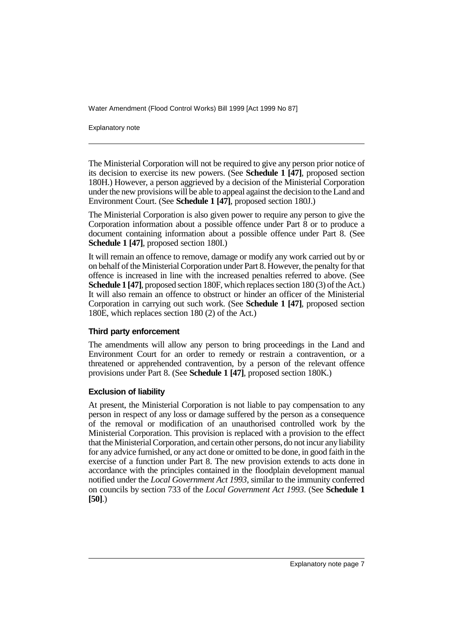Explanatory note

The Ministerial Corporation will not be required to give any person prior notice of its decision to exercise its new powers. (See **Schedule 1 [47]**, proposed section 180H.) However, a person aggrieved by a decision of the Ministerial Corporation under the new provisions will be able to appeal against the decision to the Land and Environment Court. (See **Schedule 1 [47]**, proposed section 180J.)

The Ministerial Corporation is also given power to require any person to give the Corporation information about a possible offence under Part 8 or to produce a document containing information about a possible offence under Part 8. (See **Schedule 1 [47]**, proposed section 180I.)

It will remain an offence to remove, damage or modify any work carried out by or on behalf of the Ministerial Corporation under Part 8. However, the penalty for that offence is increased in line with the increased penalties referred to above. (See **Schedule 1 [47]**, proposed section 180F, which replaces section 180 (3) of the Act.) It will also remain an offence to obstruct or hinder an officer of the Ministerial Corporation in carrying out such work. (See **Schedule 1 [47]**, proposed section 180E, which replaces section 180 (2) of the Act.)

#### **Third party enforcement**

The amendments will allow any person to bring proceedings in the Land and Environment Court for an order to remedy or restrain a contravention, or a threatened or apprehended contravention, by a person of the relevant offence provisions under Part 8. (See **Schedule 1 [47]**, proposed section 180K.)

#### **Exclusion of liability**

At present, the Ministerial Corporation is not liable to pay compensation to any person in respect of any loss or damage suffered by the person as a consequence of the removal or modification of an unauthorised controlled work by the Ministerial Corporation. This provision is replaced with a provision to the effect that the Ministerial Corporation, and certain other persons, do not incur any liability for any advice furnished, or any act done or omitted to be done, in good faith in the exercise of a function under Part 8. The new provision extends to acts done in accordance with the principles contained in the floodplain development manual notified under the *Local Government Act 1993*, similar to the immunity conferred on councils by section 733 of the *Local Government Act 1993*. (See **Schedule 1 [50]**.)